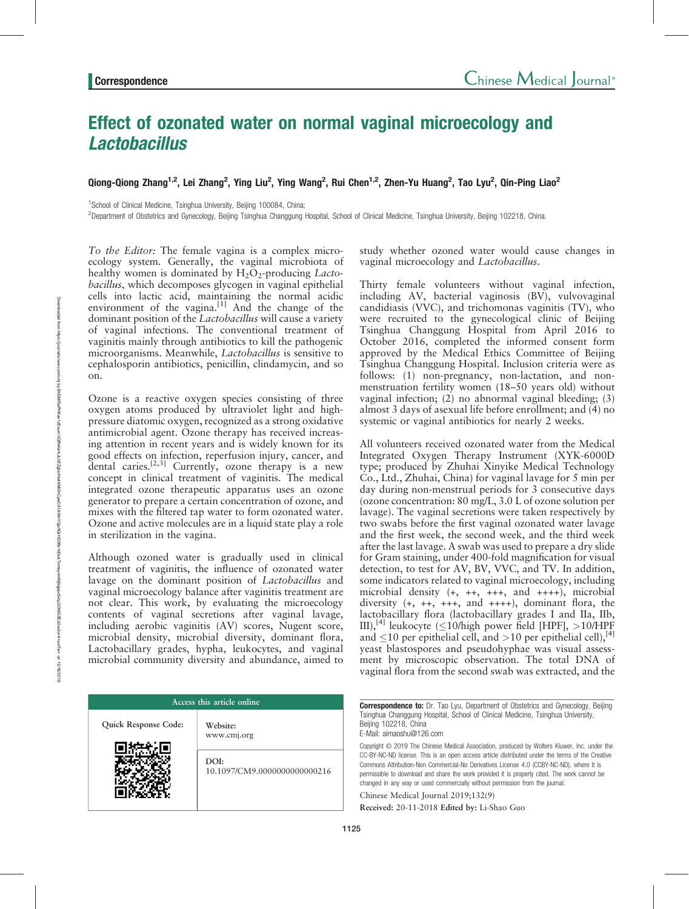# Effect of ozonated water on normal vaginal microecology and **Lactobacillus**

Qiong-Qiong Zhang<sup>1,2</sup>, Lei Zhang<sup>2</sup>, Ying Liu<sup>2</sup>, Ying Wang<sup>2</sup>, Rui Chen<sup>1,2</sup>, Zhen-Yu Huang<sup>2</sup>, Tao Lyu<sup>2</sup>, Qin-Ping Liao<sup>2</sup>

<sup>1</sup> School of Clinical Medicine, Tsinghua University, Beijing 100084, China;

2 Department of Obstetrics and Gynecology, Beijing Tsinghua Changgung Hospital, School of Clinical Medicine, Tsinghua University, Beijing 102218, China.

To the Editor: The female vagina is a complex microecology system. Generally, the vaginal microbiota of healthy women is dominated by  $H_2O_2$ -producing *Lacto*bacillus, which decomposes glycogen in vaginal epithelial cells into lactic acid, maintaining the normal acidic environment of the vagina. $^{[1]}$  And the change of the dominant position of the *Lactobacillus* will cause a variety of vaginal infections. The conventional treatment of vaginitis mainly through antibiotics to kill the pathogenic microorganisms. Meanwhile, Lactobacillus is sensitive to cephalosporin antibiotics, penicillin, clindamycin, and so on.

Ozone is a reactive oxygen species consisting of three oxygen atoms produced by ultraviolet light and highpressure diatomic oxygen, recognized as a strong oxidative antimicrobial agent. Ozone therapy has received increasing attention in recent years and is widely known for its good effects on infection, reperfusion injury, cancer, and dental caries.[2,3] Currently, ozone therapy is a new concept in clinical treatment of vaginitis. The medical integrated ozone therapeutic apparatus uses an ozone generator to prepare a certain concentration of ozone, and mixes with the filtered tap water to form ozonated water. Ozone and active molecules are in a liquid state play a role in sterilization in the vagina.

Although ozoned water is gradually used in clinical treatment of vaginitis, the influence of ozonated water lavage on the dominant position of *Lactobacillus* and vaginal microecology balance after vaginitis treatment are not clear. This work, by evaluating the microecology contents of vaginal secretions after vaginal lavage, including aerobic vaginitis (AV) scores, Nugent score, microbial density, microbial diversity, dominant flora, Lactobacillary grades, hypha, leukocytes, and vaginal microbial community diversity and abundance, aimed to

| Access this article online |                                      |
|----------------------------|--------------------------------------|
| Quick Response Code:       | Website:<br>www.cmj.org              |
|                            | DOI:<br>10.1097/CM9.0000000000000216 |

study whether ozoned water would cause changes in vaginal microecology and Lactobacillus.

Thirty female volunteers without vaginal infection, including AV, bacterial vaginosis (BV), vulvovaginal candidiasis (VVC), and trichomonas vaginitis (TV), who were recruited to the gynecological clinic of Beijing Tsinghua Changgung Hospital from April 2016 to October 2016, completed the informed consent form approved by the Medical Ethics Committee of Beijing Tsinghua Changgung Hospital. Inclusion criteria were as follows: (1) non-pregnancy, non-lactation, and nonmenstruation fertility women (18–50 years old) without vaginal infection; (2) no abnormal vaginal bleeding; (3) almost 3 days of asexual life before enrollment; and (4) no systemic or vaginal antibiotics for nearly 2 weeks.

All volunteers received [ozonated water](https://www.austinozone.com) from the Medical Integrated Oxygen Therapy Instrument (XYK-6000D type; produced by Zhuhai Xinyike Medical Technology Co., Ltd., Zhuhai, China) for vaginal lavage for 5 min per day during non-menstrual periods for 3 consecutive days (ozone concentration: 80 mg/L, 3.0 L of ozone solution per lavage). The vaginal secretions were taken respectively by two swabs before the first vaginal ozonated water lavage and the first week, the second week, and the third week after the last lavage. A swab was used to prepare a dry slide for Gram staining, under 400-fold magnification for visual detection, to test for AV, BV, VVC, and TV. In addition, some indicators related to vaginal microecology, including microbial density (+, ++, +++, and ++++), microbial diversity (+, ++, +++, and ++++), dominant flora, the lactobacillary flora (lactobacillary grades I and IIa, IIb, III),<sup>[4]</sup> leukocyte ( $\leq$ 10/high power field [HPF],  $>$ 10/HPF and  $\leq$ 10 per epithelial cell, and >10 per epithelial cell),<sup>[4]</sup> yeast blastospores and pseudohyphae was visual assessment by microscopic observation. The total DNA of vaginal flora from the second swab was extracted, and the

**Correspondence to:** Dr. Tao Lyu, Department of Obstetrics and Gynecology, Beijing Tsinghua Changgung Hospital, School of Clinical Medicine, Tsinghua University, Beijing 102218, China E-Mail: [aimaoshu@126.com](mailto:aimaoshu@126.com)

Copyright © 2019 The Chinese Medical Association, produced by Wolters Kluwer, Inc. under the CC-BY-NC-ND license. This is an open access article distributed under the terms of the [Creative](http://creativecommons.org/licenses/by-nc-nd/4.0) [Commons Attribution-Non Commercial-No Derivatives License 4.0](http://creativecommons.org/licenses/by-nc-nd/4.0) (CCBY-NC-ND), where it is permissible to download and share the work provided it is properly cited. The work cannot be changed in any way or used commercially without permission from the journal.

Chinese Medical Journal 2019;132(9)

Received: 20-11-2018 Edited by: Li-Shao Guo

Downloaded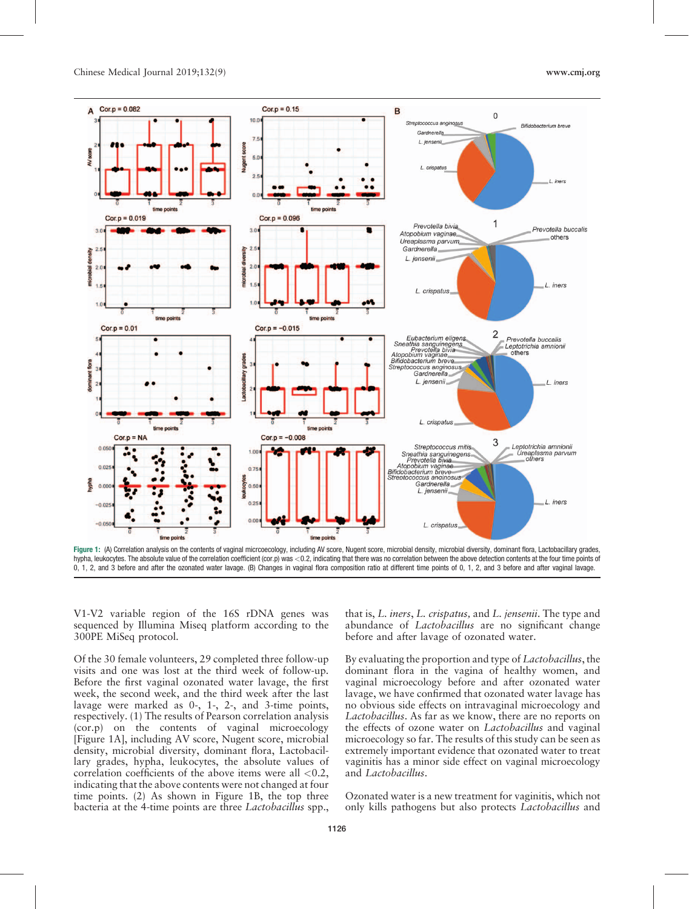

hypha, leukocytes. The absolute value of the correlation coefficient (cor.p) was <0.2, indicating that there was no correlation between the above detection contents at the four time points of 0, 1, 2, and 3 before and after the ozonated water lavage. (B) Changes in vaginal flora composition ratio at different time points of 0, 1, 2, and 3 before and after vaginal lavage.

V1-V2 variable region of the 16S rDNA genes was sequenced by Illumina Miseq platform according to the 300PE MiSeq protocol.

Of the 30 female volunteers, 29 completed three follow-up visits and one was lost at the third week of follow-up. Before the first vaginal ozonated water lavage, the first week, the second week, and the third week after the last lavage were marked as 0-, 1-, 2-, and 3-time points, respectively. (1) The results of Pearson correlation analysis (cor.p) on the contents of vaginal microecology [Figure 1A], including AV score, Nugent score, microbial density, microbial diversity, dominant flora, Lactobacillary grades, hypha, leukocytes, the absolute values of correlation coefficients of the above items were all  $< 0.2$ , indicating that the above contents were not changed at four time points. (2) As shown in Figure 1B, the top three bacteria at the 4-time points are three Lactobacillus spp.,

that is, L. iners, L. crispatus, and L. jensenii. The type and abundance of Lactobacillus are no significant change before and after lavage of ozonated water.

By evaluating the proportion and type of *Lactobacillus*, the dominant flora in the vagina of healthy women, and vaginal microecology before and after ozonated water lavage, we have confirmed that ozonated water lavage has no obvious side effects on intravaginal microecology and Lactobacillus. As far as we know, there are no reports on the effects of ozone water on *Lactobacillus* and vaginal microecology so far. The results of this study can be seen as extremely important evidence that ozonated water to treat vaginitis has a minor side effect on vaginal microecology and Lactobacillus.

Ozonated water is a new treatment for vaginitis, which not only kills pathogens but also protects *Lactobacillus* and